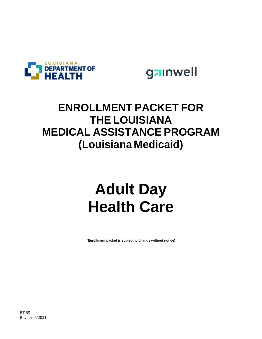



### **ENROLLMENT PACKET FOR THE LOUISIANA MEDICAL ASSISTANCE PROGRAM (Louisiana Medicaid)**

# **Adult Day Health Care**

**(Enrollment packet is subject to change without notice)**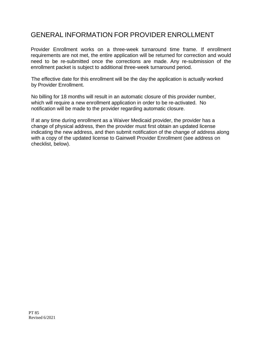#### GENERAL INFORMATION FOR PROVIDER ENROLLMENT

Provider Enrollment works on a three-week turnaround time frame. If enrollment requirements are not met, the entire application will be returned for correction and would need to be re-submitted once the corrections are made. Any re-submission of the enrollment packet is subject to additional three-week turnaround period.

The effective date for this enrollment will be the day the application is actually worked by Provider Enrollment.

No billing for 18 months will result in an automatic closure of this provider number, which will require a new enrollment application in order to be re-activated. No notification will be made to the provider regarding automatic closure.

If at any time during enrollment as a Waiver Medicaid provider, the provider has a change of physical address, then the provider must first obtain an updated license indicating the new address, and then submit notification of the change of address along with a copy of the updated license to Gainwell Provider Enrollment (see address on checklist, below).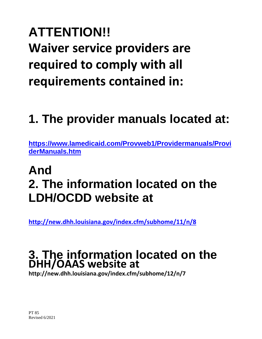# **ATTENTION!! Waiver service providers are required to comply with all requirements contained in:**

## **1. The provider manuals located at:**

**[https://www.lamedicaid.com/Provweb1/Providermanuals/Provi](https://www.lamedicaid.com/Provweb1/Providermanuals/ProviderManuals.htm) [derManuals.htm](https://www.lamedicaid.com/Provweb1/Providermanuals/ProviderManuals.htm)**

## **And 2. The information located on the LDH/OCDD website at**

**<http://new.dhh.louisiana.gov/index.cfm/subhome/11/n/8>**

### **3. The information located on the DHH/OAAS website at**

**http://new.dhh.louisiana.gov/index.cfm/subhome/12/n/7**